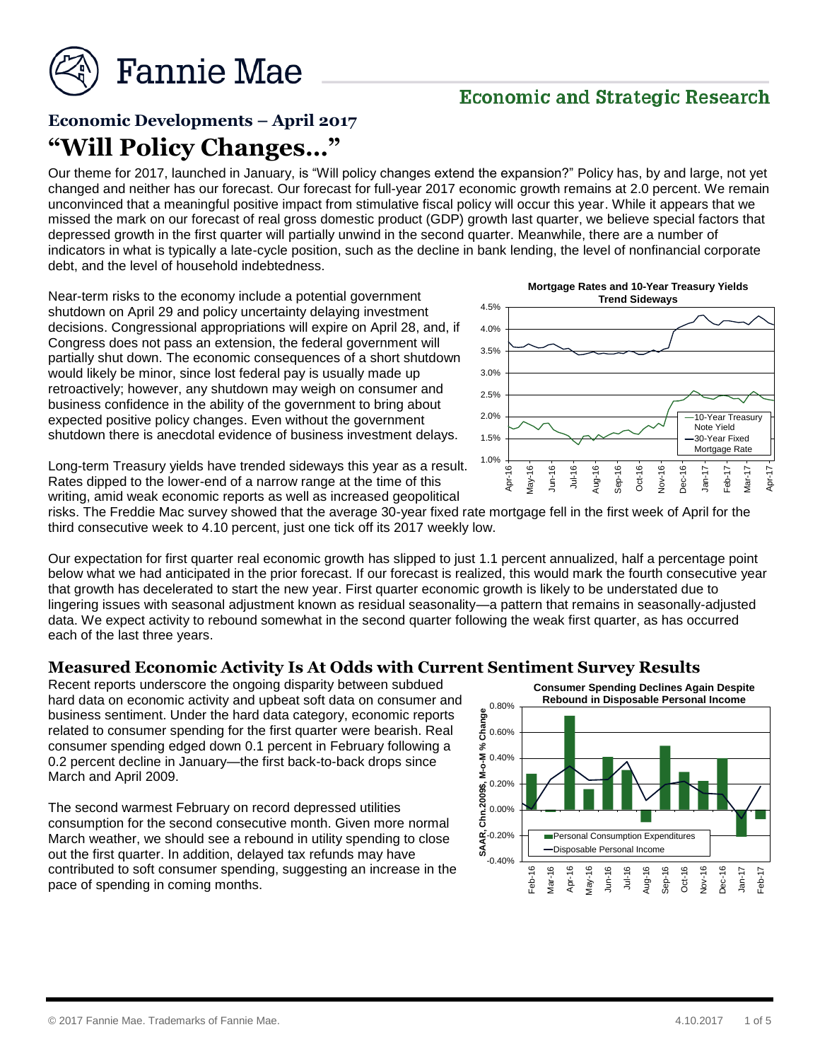

# **Economic and Strategic Research**

# **Economic Developments – April 2017 "Will Policy Changes…"**

Our theme for 2017, launched in January, is "Will policy changes extend the expansion?" Policy has, by and large, not yet changed and neither has our forecast. Our forecast for full-year 2017 economic growth remains at 2.0 percent. We remain unconvinced that a meaningful positive impact from stimulative fiscal policy will occur this year. While it appears that we missed the mark on our forecast of real gross domestic product (GDP) growth last quarter, we believe special factors that depressed growth in the first quarter will partially unwind in the second quarter. Meanwhile, there are a number of indicators in what is typically a late-cycle position, such as the decline in bank lending, the level of nonfinancial corporate debt, and the level of household indebtedness.

Near-term risks to the economy include a potential government shutdown on April 29 and policy uncertainty delaying investment decisions. Congressional appropriations will expire on April 28, and, if Congress does not pass an extension, the federal government will partially shut down. The economic consequences of a short shutdown would likely be minor, since lost federal pay is usually made up retroactively; however, any shutdown may weigh on consumer and business confidence in the ability of the government to bring about expected positive policy changes. Even without the government shutdown there is anecdotal evidence of business investment delays.



Long-term Treasury yields have trended sideways this year as a result. Rates dipped to the lower-end of a narrow range at the time of this writing, amid weak economic reports as well as increased geopolitical

risks. The Freddie Mac survey showed that the average 30-year fixed rate mortgage fell in the first week of April for the third consecutive week to 4.10 percent, just one tick off its 2017 weekly low.

Our expectation for first quarter real economic growth has slipped to just 1.1 percent annualized, half a percentage point below what we had anticipated in the prior forecast. If our forecast is realized, this would mark the fourth consecutive year that growth has decelerated to start the new year. First quarter economic growth is likely to be understated due to lingering issues with seasonal adjustment known as residual seasonality—a pattern that remains in seasonally-adjusted data. We expect activity to rebound somewhat in the second quarter following the weak first quarter, as has occurred each of the last three years.

#### **Measured Economic Activity Is At Odds with Current Sentiment Survey Results**

Recent reports underscore the ongoing disparity between subdued hard data on economic activity and upbeat soft data on consumer and business sentiment. Under the hard data category, economic reports related to consumer spending for the first quarter were bearish. Real consumer spending edged down 0.1 percent in February following a 0.2 percent decline in January—the first back-to-back drops since March and April 2009.

The second warmest February on record depressed utilities consumption for the second consecutive month. Given more normal March weather, we should see a rebound in utility spending to close out the first quarter. In addition, delayed tax refunds may have contributed to soft consumer spending, suggesting an increase in the pace of spending in coming months.

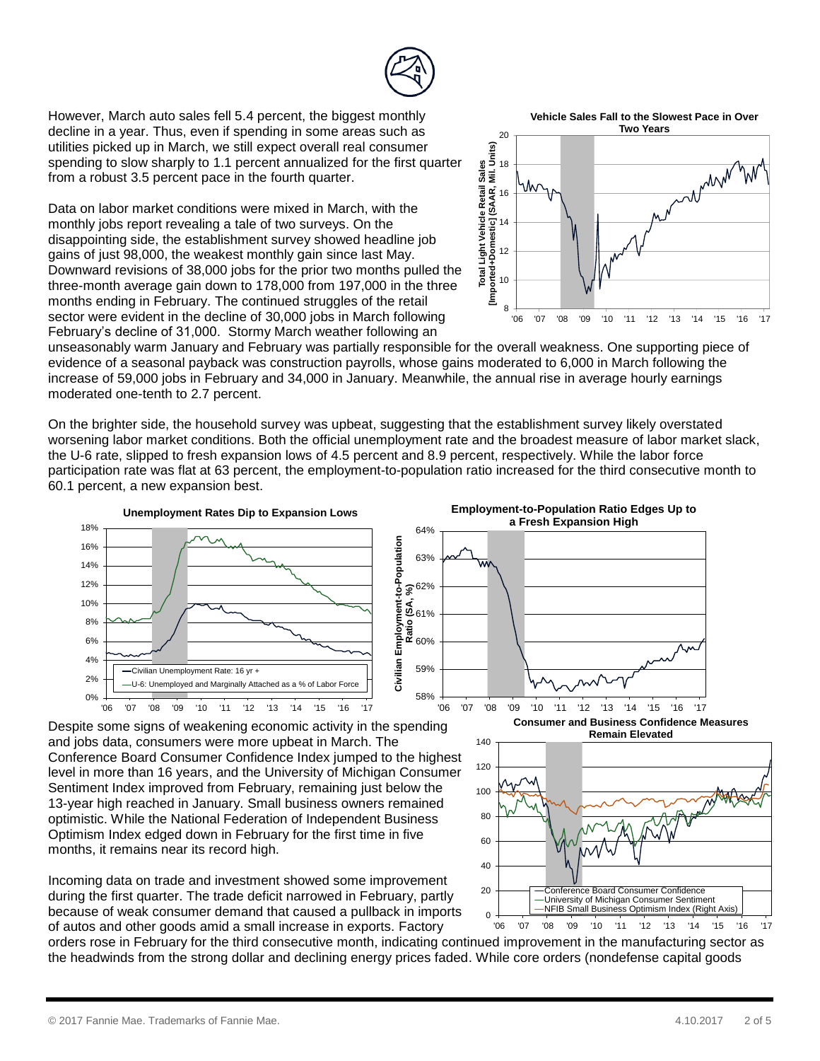

0% 2% 4% 6% 8% 10%

However, March auto sales fell 5.4 percent, the biggest monthly decline in a year. Thus, even if spending in some areas such as utilities picked up in March, we still expect overall real consumer spending to slow sharply to 1.1 percent annualized for the first quarter from a robust 3.5 percent pace in the fourth quarter.

Data on labor market conditions were mixed in March, with the monthly jobs report revealing a tale of two surveys. On the disappointing side, the establishment survey showed headline job gains of just 98,000, the weakest monthly gain since last May. Downward revisions of 38,000 jobs for the prior two months pulled the three-month average gain down to 178,000 from 197,000 in the three months ending in February. The continued struggles of the retail sector were evident in the decline of 30,000 jobs in March following February's decline of 31,000. Stormy March weather following an



16

 $\frac{1}{2}$ <br>18 20

**Total Light Vehicle Retail Sales [Imported+Domestic] (SAAR, Mil. Units)** Vehicle Light 12 +  $\overline{\mathbf{e}}$ 흽 10 8 '06 '07 '08 '09 '10 '11 '12 '13 '14 '15 '16 '17

unseasonably warm January and February was partially responsible for the overall weakness. One supporting piece of evidence of a seasonal payback was construction payrolls, whose gains moderated to 6,000 in March following the increase of 59,000 jobs in February and 34,000 in January. Meanwhile, the annual rise in average hourly earnings moderated one-tenth to 2.7 percent.

On the brighter side, the household survey was upbeat, suggesting that the establishment survey likely overstated worsening labor market conditions. Both the official unemployment rate and the broadest measure of labor market slack, the U-6 rate, slipped to fresh expansion lows of 4.5 percent and 8.9 percent, respectively. While the labor force participation rate was flat at 63 percent, the employment-to-population ratio increased for the third consecutive month to 60.1 percent, a new expansion best.

Š,

٩į



**Employment-to-Population Ratio Edges Up to a Fresh Expansion High** 64% Civilian Employment-to-Population

 $\frac{1}{10}$  0



Despite some signs of weakening economic activity in the spending and jobs data, consumers were more upbeat in March. The Conference Board Consumer Confidence Index jumped to the highest level in more than 16 years, and the University of Michigan Consumer Sentiment Index improved from February, remaining just below the 13-year high reached in January. Small business owners remained optimistic. While the National Federation of Independent Business Optimism Index edged down in February for the first time in five months, it remains near its record high.

'06 '07 '08 '09 '10 '11 '12 '13 '14 '15 '16 '17

U-6: Unemployed and Marginally Attached as a % of Labor

Civilian Unemployment Rate: 16 yr +

Incoming data on trade and investment showed some improvement during the first quarter. The trade deficit narrowed in February, partly because of weak consumer demand that caused a pullback in imports of autos and other goods amid a small increase in exports. Factory

orders rose in February for the third consecutive month, indicating continued improvement in the manufacturing sector as the headwinds from the strong dollar and declining energy prices faded. While core orders (nondefense capital goods

'06 '07 '08 '09 '10 '11 '12 '13 '14 '15 '16 '17

Conference Board Consumer Confidence University of Michigan Consumer Sentiment NFIB Small Business Optimism Index (Right Axis)

**Consumer and Business Confidence Measures Remain Elevated**



**Vehicle Sales Fall to the Slowest Pace in Over Two Years**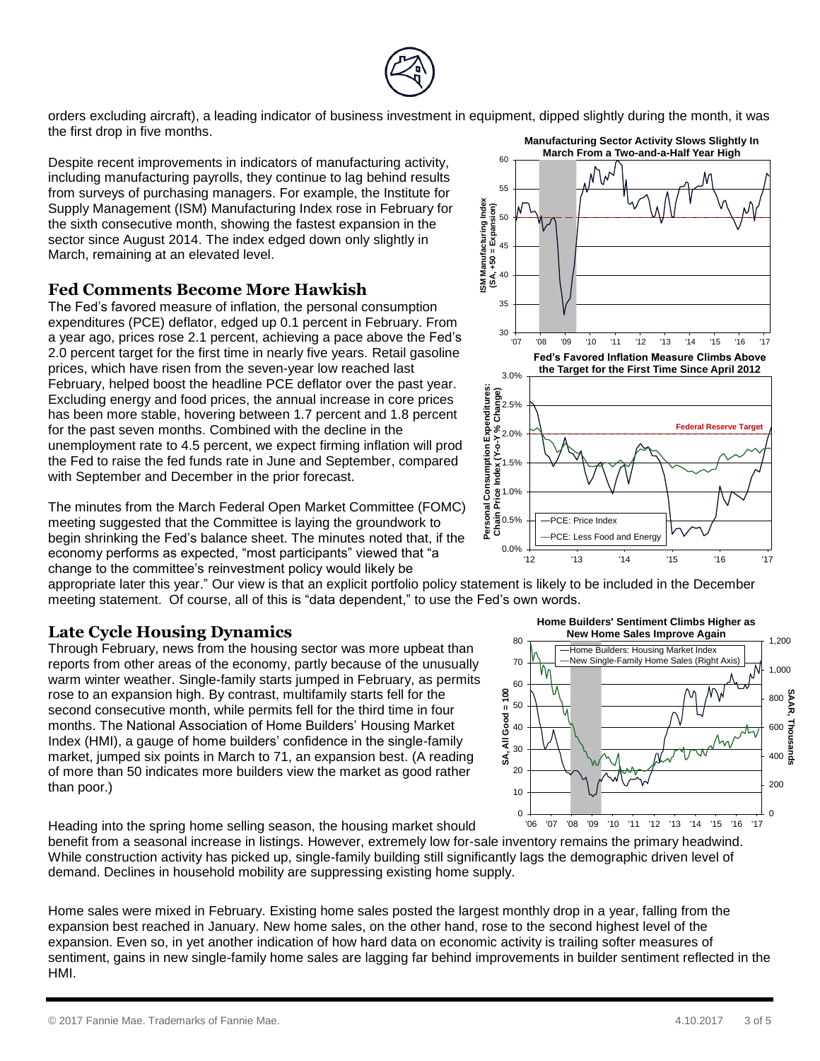Home sales were mixed in February. Existing home sales posted the largest monthly drop in a year, falling from the expansion best reached in January. New home sales, on the other hand, rose to the second highest level of the expansion. Even so, in yet another indication of how hard data on economic activity is trailing softer measures of sentiment, gains in new single-family home sales are lagging far behind improvements in builder sentiment reflected in the HMI.

While construction activity has picked up, single-family building still significantly lags the demographic driven level of



0.0%

 $\frac{5}{6}0.5%$ Co<br>
Price I<br>
Price I<br>
Price I

 $1.5% +$ 

PCE: Price Index

PCE: Less Food and Energy

 $2.0\% +$ 

 $40$ 

**ISM Manufacturing Index (SA, +50 = Expansion)**

45

50 ∦

55

60

The minutes from the March Federal Open Market Committee (FOMC) meeting suggested that the Committee is laying the groundwork to begin shrinking the Fed's balance sheet. The minutes noted that, if the economy performs as expected, "most participants" viewed that "a change to the committee's reinvestment policy would likely be

appropriate later this year." Our view is that an explicit portfolio policy statement is likely to be included in the December meeting statement. Of course, all of this is "data dependent," to use the Fed's own words.

## **Late Cycle Housing Dynamics**

Through February, news from the housing sector was more upbeat than reports from other areas of the economy, partly because of the unusually warm winter weather. Single-family starts jumped in February, as permits rose to an expansion high. By contrast, multifamily starts fell for the second consecutive month, while permits fell for the third time in four months. The National Association of Home Builders' Housing Market Index (HMI), a gauge of home builders' confidence in the single-family market, jumped six points in March to 71, an expansion best. (A reading of more than 50 indicates more builders view the market as good rather than poor.)

Heading into the spring home selling season, the housing market should

40

80



orders excluding aircraft), a leading indicator of business investment in equipment, dipped slightly during the month, it was the first drop in five months. **Manufacturing Sector Activity Slows Slightly In March From a Two-and-a-Half Year High**

Despite recent improvements in indicators of manufacturing activity, including manufacturing payrolls, they continue to lag behind results from surveys of purchasing managers. For example, the Institute for Supply Management (ISM) Manufacturing Index rose in February for the sixth consecutive month, showing the fastest expansion in the sector since August 2014. The index edged down only slightly in March, remaining at an elevated level.

## **Fed Comments Become More Hawkish**

The Fed's favored measure of inflation, the personal consumption expenditures (PCE) deflator, edged up 0.1 percent in February. From a year ago, prices rose 2.1 percent, achieving a pace above the Fed's 2.0 percent target for the first time in nearly five years. Retail gasoline prices, which have risen from the seven-year low reached last February, helped boost the headline PCE deflator over the past year. Excluding energy and food prices, the annual increase in core prices has been more stable, hovering between 1.7 percent and 1.8 percent for the past seven months. Combined with the decline in the unemployment rate to 4.5 percent, we expect firming inflation will prod the Fed to raise the fed funds rate in June and September, compared with September and December in the prior forecast.



**Federal Reserve Targe**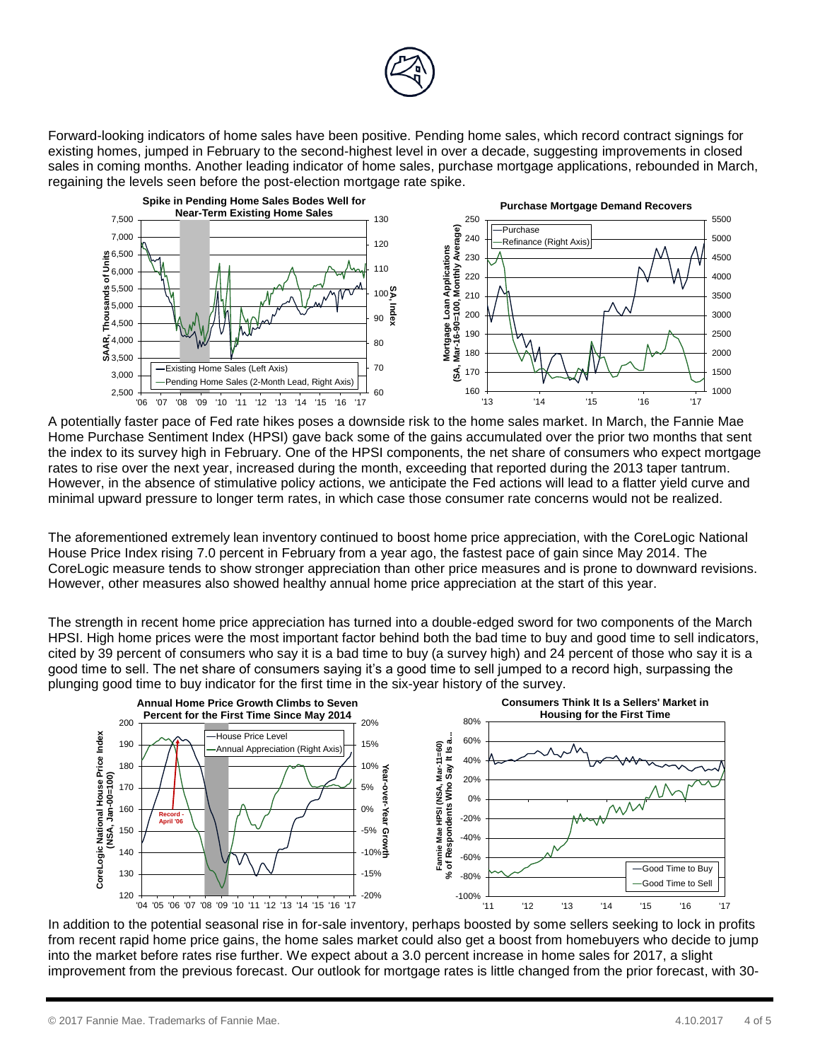

Forward-looking indicators of home sales have been positive. Pending home sales, which record contract signings for existing homes, jumped in February to the second-highest level in over a decade, suggesting improvements in closed sales in coming months. Another leading indicator of home sales, purchase mortgage applications, rebounded in March, regaining the levels seen before the post-election mortgage rate spike.



A potentially faster pace of Fed rate hikes poses a downside risk to the home sales market. In March, the Fannie Mae Home Purchase Sentiment Index (HPSI) gave back some of the gains accumulated over the prior two months that sent the index to its survey high in February. One of the HPSI components, the net share of consumers who expect mortgage rates to rise over the next year, increased during the month, exceeding that reported during the 2013 taper tantrum. However, in the absence of stimulative policy actions, we anticipate the Fed actions will lead to a flatter yield curve and minimal upward pressure to longer term rates, in which case those consumer rate concerns would not be realized.

The aforementioned extremely lean inventory continued to boost home price appreciation, with the CoreLogic National House Price Index rising 7.0 percent in February from a year ago, the fastest pace of gain since May 2014. The CoreLogic measure tends to show stronger appreciation than other price measures and is prone to downward revisions. However, other measures also showed healthy annual home price appreciation at the start of this year.

The strength in recent home price appreciation has turned into a double-edged sword for two components of the March HPSI. High home prices were the most important factor behind both the bad time to buy and good time to sell indicators, cited by 39 percent of consumers who say it is a bad time to buy (a survey high) and 24 percent of those who say it is a good time to sell. The net share of consumers saying it's a good time to sell jumped to a record high, surpassing the plunging good time to buy indicator for the first time in the six-year history of the survey.



In addition to the potential seasonal rise in for-sale inventory, perhaps boosted by some sellers seeking to lock in profits from recent rapid home price gains, the home sales market could also get a boost from homebuyers who decide to jump into the market before rates rise further. We expect about a 3.0 percent increase in home sales for 2017, a slight improvement from the previous forecast. Our outlook for mortgage rates is little changed from the prior forecast, with 30-